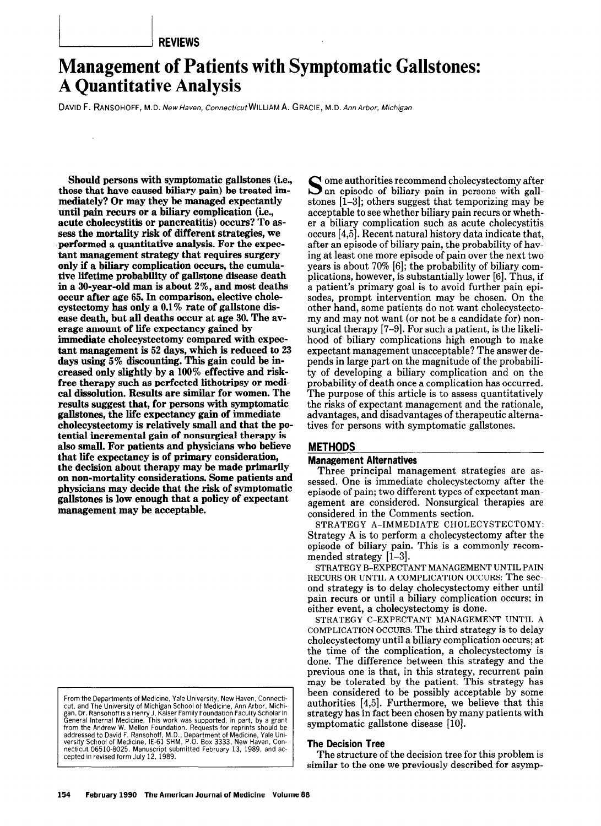# Management of Patients with Symptomatic Gallstones: A Quantitative Analysis

DAVID F. RANSOHOFF, M.D. New Haven, Connecticut WILLIAM A. GRACIE, M.D. Ann Arbor, Michigan

Should persons with symptomatic gallstones (i.e., those that have caused biliary pain) be treated immediately? Or may they be managed expectantly until pain recurs or a biliary complication (i.e., acute cholecystitis or pancreatitis) occurs? To assess the mortality risk of different strategies, we performed a quantitative analysis. For the expectant management strategy that requires surgery only if a biliary complication occurs, the cumulative lifetime probability of gallstone disease death in a 30-year-old man is about 2%, and most deaths occur after age 65. In comparison, elective cholecystectomy has only a 0.1% rate of gallstone disease death, but all deaths occur at age 30. The average amount of life expectancy gained by immediate cholecystectomy compared with expectant management is 52 days, which is reduced to 23 days using  $5\%$  discounting. This gain could be increased only slightly by a 100% effective and riskfree therapy such as perfected lithotripsy or medical dissolution. Results are similar for women. The results suggest that, for persons with symptomatic gallstones, the life expectancy gain of immediate cholecystectomy is relatively small and that the potential incremental gain of nonsurgical therapy is also small. For patients and physicians who believe that life expectancy is of primary consideration, the decision about therapy may be made primarily on non-mortality considerations. Some patients and physicians may decide that the risk of symptomatic gallstones is low enough that a policy of expectant management may be acceptable.

From the Departments of Medicine, Yale University, New Haven, Connecticut, and The University of Michigan School of Medicine, Ann Arbor, Michigan Condition, Can Arbor, Michigan Connection, General Internal Medicine. This w

Some authorities recommend cholecystectomy after an episode of biliary pain in persons with gallstones  $[1-3]$ ; others suggest that temporizing may be acceptable to see whether biliary pain recurs or whether a biliary complication such as acute cholecystitis occurs [4,5]. Recent natural history data indicate that, after an episode of biliary pain, the probability of having at least one more episode of pain over the next two years is about 70% [6]; the probability of biliary complications, however, is substantially lower [6]. Thus, if a patient's primary goal is to avoid further pain episodes, prompt intervention may be chosen. On the other hand, some patients do not want cholecystectomy and may not want (or not be a candidate for) nonsurgical therapy [7-9]. For such a patient, is the likelihood of biliary complications high enough to make expectant management unacceptable? The answer depends in large part on the magnitude of the probability of developing a biliary complication and on the probability of death once a complication has occurred. The purpose of this article is to assess quantitatively the risks of expectant management and the rationale, advantages, and disadvantages of therapeutic alternatives for persons with symptomatic gallstones.

## METHODS

### Management Alternatives

Three principal management strategies are assessed. One is immediate cholecystectomy after the episode of pain; two different types of expectant management are considered. Nonsurgical therapies are considered in the Comments section.

STRATEGY A-IMMEDIATE CHOLECYSTECTOMY: Strategy A is to perform a cholecystectomy after the episode of biliary pain. This is a commonly recommended strategy [l-3].

STRATEGY B-EXPECTANT MANAGEMENT UNTIL PAIN RECURS OR UNTIL A COMPLICATION OCCURS: The second strategy is to delay cholecystectomy either until pain recurs or until a biliary complication occurs; in either event, a cholecystectomy is done.

STRATEGY C-EXPECTANT MANAGEMENT UNTIL A COMPLICATION OCCURS: The third strategy is to delay cholecystectomy until a biliary complication occurs; at the time of the complication, a cholecystectomy is done. The difference between this strategy and the previous one is that, in this strategy, recurrent pain may be tolerated by the patient. This strategy has been considered to be possibly acceptable by some authorities [4,5]. Furthermore, we believe that this strategy has in fact been chosen by many patients with symptomatic gallstone disease [10].

### The Decision Tree

The structure of the decision tree for this problem is similar to the one we previously described for asymp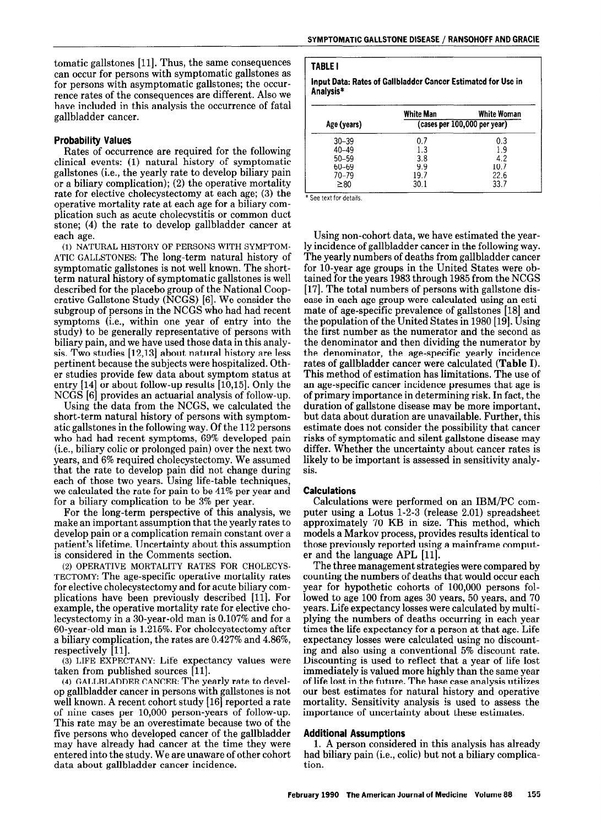tomatic gallstones [ll]. Thus, the same consequences can occur for persons with symptomatic gallstones as for persons with asymptomatic gallstones; the occurrence rates of the consequences are different. Also we have included in this analysis the occurrence of fatal gallbladder cancer.

### Probability Values

Rates of occurrence are required for the following clinical events: (1) natural history of symptomatic gallstones (i.e., the yearly rate to develop biliary pain or a biliary complication); (2) the operative mortality rate for elective cholecystectomy at each age; (3) the operative mortality rate at each age for a biliary complication such as acute cholecystitis or common duct stone; (4) the rate to develop gallbladder cancer at each age.

(1) NATURAL HISTORY OF PERSONS WITH SYMPTOM-ATIC GALLSTONES: The long-term natural history of symptomatic gallstones is not well known. The shortterm natural history of symptomatic gallstones is well described for the placebo group of the National Cooperative Gallstone Study (NCGS) [6]. We consider the subgroup of persons in the NCGS who had had recent symptoms (i.e., within one year of entry into the study) to be generally representative of persons with biliary pain, and we have used those data in this analysis. Two studies [12,13] about natural history are less pertinent because the subjects were hospitalized. Other studies provide few data about symptom status at entry [14] or about follow-up results [10,15]. Only the NCGS [6] provides an actuarial analysis of follow-up.

Using the data from the NCGS, we calculated the short-term natural history of persons with symptomatic gallstones in the following way. Of the 112 persons who had had recent symptoms, 69% developed pain (i.e., biliary colic or prolonged pain) over the next two years, and 6% required cholecystectomy. We assumed that the rate to develop pain did not change during each of those two years. Using life-table techniques, we calculated the rate for pain to be 41% per year and for a biliary complication to be 3% per year.

For the long-term perspective of this analysis, we make an important assumption that the yearly rates to develop pain or a complication remain constant over a patient's lifetime. Uncertainty about this assumption is considered in the Comments section.

(2) OPERATIVE MORTALITY RATES FOR CHOLECYS-TECTOMY: The age-specific operative mortality rates for elective cholecystectomy and for acute biliary complications have been previously described [ll]. For example, the operative mortality rate for elective cholecystectomy in a 30-year-old man is 0.107% and for a 60-year-old man is 1.215%. For cholecystectomy after a biliary complication, the rates are 0.427% and 4.86%, respectively [11].

(3) LIFE EXPECTANY: Life expectancy values were taken from published sources [ll].

(4) GALLBLADDER CANCER: The yearly rate to develop gallbladder cancer in persons with gallstones is not well known. A recent cohort study [16] reported a rate of nine cases per 10,000 person-years of follow-up. This rate may be an overestimate because two of the five persons who developed cancer of the gallbladder may have already had cancer at the time they were entered into the study. We are unaware of other cohort data about gallbladder cancer incidence.

| TABLE I<br>Input Data: Rates of Gallbladder Cancer Estimated for Use in<br>Analysis* |                              |                    |  |  |  |  |
|--------------------------------------------------------------------------------------|------------------------------|--------------------|--|--|--|--|
|                                                                                      | White Man                    | <b>White Woman</b> |  |  |  |  |
| Age (years)                                                                          | (cases per 100,000 per year) |                    |  |  |  |  |
| $30 - 39$                                                                            | 0.7                          | 0.3                |  |  |  |  |
| $40 - 49$                                                                            | 1.3                          | 1.9                |  |  |  |  |
| $50 - 59$                                                                            | 3.8                          | 4.2                |  |  |  |  |
| $60 - 69$                                                                            | 99                           | 10.7               |  |  |  |  |
| 70–79                                                                                | 19.7                         | 22.6               |  |  |  |  |

60-69 9.9 10.7 70-79 19.7 22.6  $\geq$ 80 30.1 33.7

\* See text for details.

I

Using non-cohort data, we have estimated the yearly incidence of gallbladder cancer in the following way. The yearly numbers of deaths from gallbladder cancer for 10-year age groups in the United States were obtained for the years 1983 through 1985 from the NCGS [17]. The total numbers of persons with gallstone disease in each age group were calculated using an estimate of age-specific prevalence of gallstones [18] and the population of the United States in 1980 [19]. Using the first number as the numerator and the second as the denominator and then dividing the numerator by the denominator, the age-specific yearly incidence rates of gallbladder cancer were calculated (Table I). This method of estimation has limitations. The use of an age-specific cancer incidence presumes that age is of primary importance in determining risk. In fact, the duration of gallstone disease may be more important, but data about duration are unavailable. Further, this estimate does not consider the possibility that cancer risks of symptomatic and silent gallstone disease may differ. Whether the uncertainty about cancer rates is likely to be important is assessed in sensitivity analysis.

### **Calculations**

Calculations were performed on an IBM/PC computer using a Lotus l-2-3 (release 2.01) spreadsheet approximately 70 KB in size. This method, which models a Markov process, provides results identical to those previously reported using a mainframe computer and the language APL [ll].

The three management strategies were compared by counting the numbers of deaths that would occur each year for hypothetic cohorts of 100,000 persons followed to age 100 from ages 30 years, 50 years, and 70 years. Life expectancy losses were calculated by multiplying the numbers of deaths occurring in each year times the life expectancy for a person at that age. Life expectancy losses were calculated using no discounting and also using a conventional 5% discount rate. Discounting is used to reflect that a year of life lost immediately is valued more highly than the same year of life lost in the future. The base case analysis utilizes our best estimates for natural history and operative mortality. Sensitivity analysis is used to assess the importance of uncertainty about these estimates.

### Additional Assumptions

1. A person considered in this analysis has already had biliary pain (i.e., colic) but not a biliary complication.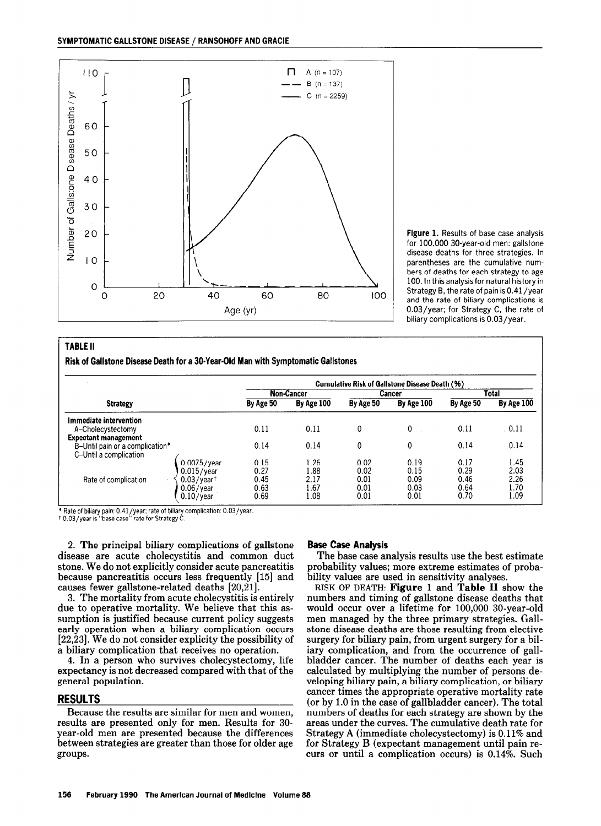

Figure 1. Results of base case analysis for 100,000 30-year-old men: gallstone disease deaths for three strategies. In parentheses are the cumulative numbers of deaths for each strategy to age 100. In this analysis for natural history in Strategy B, the rate of pain is 0.41 / year and the rate of biliary complications is O.O3/year; for Strategy C, the rate of biliary complications is 0.03/year.

TABLE II<br>Risk of Gallstone Disease Death for a 30-Year-Old Man with Symptomatic Gallstones

| <b>Strategy</b>                 |                           | <b>Cumulative Risk of Gallstone Disease Death (%)</b> |            |           |            |           |            |  |
|---------------------------------|---------------------------|-------------------------------------------------------|------------|-----------|------------|-----------|------------|--|
|                                 |                           | Non-Cancer                                            |            | Cancer    |            | Total     |            |  |
|                                 |                           | By Age 50                                             | By Age 100 | By Age 50 | By Age 100 | By Age 50 | By Age 100 |  |
| Immediate intervention          |                           |                                                       |            |           |            |           |            |  |
| A-Cholecystectomy               |                           | 0.11                                                  | 0.11       | 0         | 0          | 0.11      | 0.11       |  |
| <b>Expectant management</b>     |                           |                                                       |            |           |            |           |            |  |
| B-Until pain or a complication* |                           | 0.14                                                  | 0.14       | 0         | 0          | 0.14      | 0.14       |  |
| C-Until a complication          |                           |                                                       |            |           |            |           |            |  |
|                                 | 0.0075/year               | 0.15                                                  | 1.26       | 0.02      | 0.19       | 0.17      | 1.45       |  |
|                                 | $0.015$ /year             | 0.27                                                  | 1.88       | 0.02      | 0.15       | 0.29      | 2.03       |  |
| Rate of complication            | $0.03$ /year <sup>t</sup> | 0.45                                                  | 2.17       | 0.01      | 0.09       | 0.46      | 2.26       |  |
|                                 | $0.06$ /year              | 0.63                                                  | l.67       | 0.01      | 0.03       | 0.64      | 1.70       |  |
|                                 | $0.10$ /year              | 0.69                                                  | .08        | 0.01      | 0.01       | 0.70      | 1.09       |  |

\* Rate of biliary pain: 0.4l/year: rate of biliary complication: O.O3/year. t O.O3/year is "base case" rate for Strategy C.

2. The principal biliary complications of gallstone disease are acute cholecystitis and common duct stone. We do not explicitly consider acute pancreatitis because pancreatitis occurs less frequently [15] and causes fewer gallstone-related deaths [20,21].

3. The mortality from acute cholecystitis is entirely due to operative mortality. We believe that this assumption is justified because current policy suggests early operation when a biliary complication occurs [22,23]. We do not consider explicity the possibility of a biliary complication that receives no operation.

4. In a person who survives cholecystectomy, life expectancy is not decreased compared with that of the general population.

### RESULTS

Because the results are similar for men and women, results are presented only for men. Results for 30 year-old men are presented because the differences between strategies are greater than those for older age groups.

### Base Case Analysis

The base case analysis results use the best estimate probability values; more extreme estimates of probability values are used in sensitivity analyses.

RISK OF DEATH: Figure 1 and Table II show the numbers and timing of gallstone disease deaths that would occur over a lifetime for 100,000 30-year-old men managed by the three primary strategies. Gallstone disease deaths are those resulting from elective surgery for biliary pain, from urgent surgery for a biliary complication, and from the occurrence of gallbladder cancer. The number of deaths each year is calculated by multiplying the number of persons developing biliary pain, a biliary complication, or biliary cancer times the appropriate operative mortality rate (or by 1.0 in the case of gallbladder cancer). The total numbers of deaths for each strategy are shown by the areas under the curves. The cumulative death rate for Strategy A (immediate cholecystectomy) is 0.11% and for Strategy B (expectant management until pain recurs or until a complication occurs) is 0.14%. Such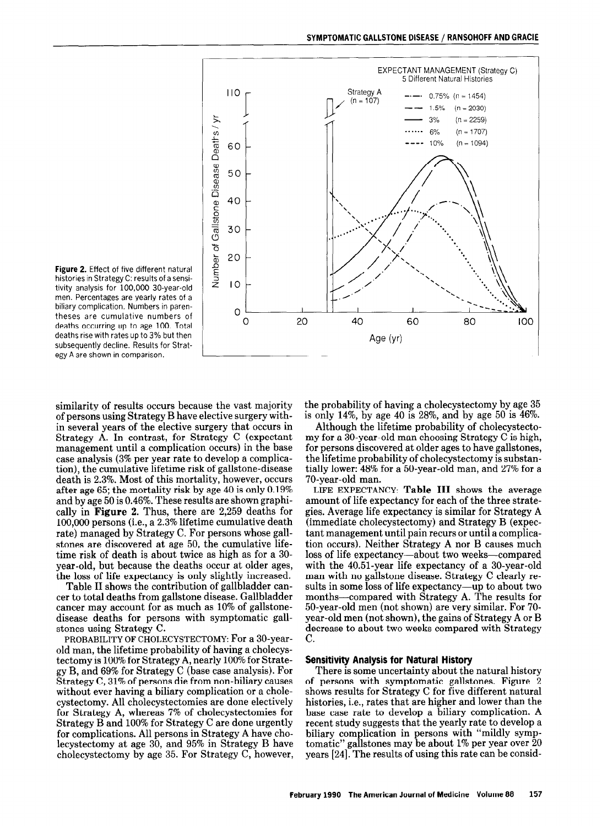

Figure 2. Effect of five different natural histories in Strategy C: results of a sensitivity analysis for 100,000 30-year-old men. Percentages are yearly rates of a biliary complication. Numbers in parentheses are cumulative numbers of deaths occurring up to age 100. Total deaths rise with rates up to 3% but then subsequently decline. Results for Strategy A are shown in comparison.

similarity of results occurs because the vast majority of persons using Strategy B have elective surgery within several years of the elective surgery that occurs in Strategy A. In contrast, for Strategy C (expectant management until a complication occurs) in the base case analysis (3% per year rate to develop a complication), the cumulative lifetime risk of gallstone-disease death is 2.3%. Most of this mortality, however, occurs after age 65; the mortality risk by age 40 is only 0.19% and by age 50 is 0.46%. These results are shown graphically in Figure 2. Thus, there are 2,259 deaths for 100,000 persons (i.e., a 2.3% lifetime cumulative death rate) managed by Strategy C. For persons whose gallstones are discovered at age 50, the cumulative lifetime risk of death is about twice as high as for a 30 year-old, but because the deaths occur at older ages, the loss of life expectancy is only slightly increased.

Table II shows the contribution of gallbladder cancer to total deaths from gallstone disease. Gallbladder cancer may account for as much as 10% of gallstonedisease deaths for persons with symptomatic gallstones using Strategy C.

PROBABILITY OF CHOLECYSTECTOMY: For a 30-yearold man, the lifetime probability of having a cholecystectomy is 100% for Strategy A, nearly 100% for Strategy B, and 69% for Strategy C (base case analysis). For Strategy C, 31% of persons die from non-biliary causes without ever having a biliary complication or a cholecystectomy. All cholecystectomies are done electively for Strategy A, whereas 7% of cholecystectomies for Strategy B and 100% for Strategy C are done urgently for complications. All persons in Strategy A have cholecystectomy at age 30, and 95% in Strategy B have cholecystectomy by age 35. For Strategy C, however,

the probability of having a cholecystectomy by age 35 is only 14%, by age 40 is 28%, and by age 50 is 46%.

Although the lifetime probability of cholecystectomy for a 30-year-old man choosing Strategy C is high, for persons discovered at older ages to have gallstones, the lifetime probability of cholecystectomy is substantially lower: 48% for a 50-year-old man, and 27% for a 70-year-old man.

LIFE EXPECTANCY: Table III shows the average amount of life expectancy for each of the three strategies. Average life expectancy is similar for Strategy A (immediate cholecystectomy) and Strategy B (expectant management until pain recurs or until a complication occurs). Neither Strategy A nor B causes much loss of life expectancy-about two weeks-compared with the 40.51-year life expectancy of a 30-year-old man with no gallstone disease. Strategy C clearly results in some loss of life expectancy—up to about two months-compared with Strategy A. The results for 50-year-old men (not shown) are very similar. For 70 year-old men (not shown), the gains of Strategy A or B decrease to about two weeks compared with Strategy C.

### Sensitivity Analysis for Natural History

There is some uncertainty about the natural history of persons with symptomatic gallstones. Figure 2 shows results for Strategy C for five different natural histories, i.e., rates that are higher and lower than the base case rate to develop a biliary complication. A recent study suggests that the yearly rate to develop a biliary complication in persons with "mildly symptomatic" gallstones may be about 1% per year over 20 years [24]. The results of using this rate can be consid-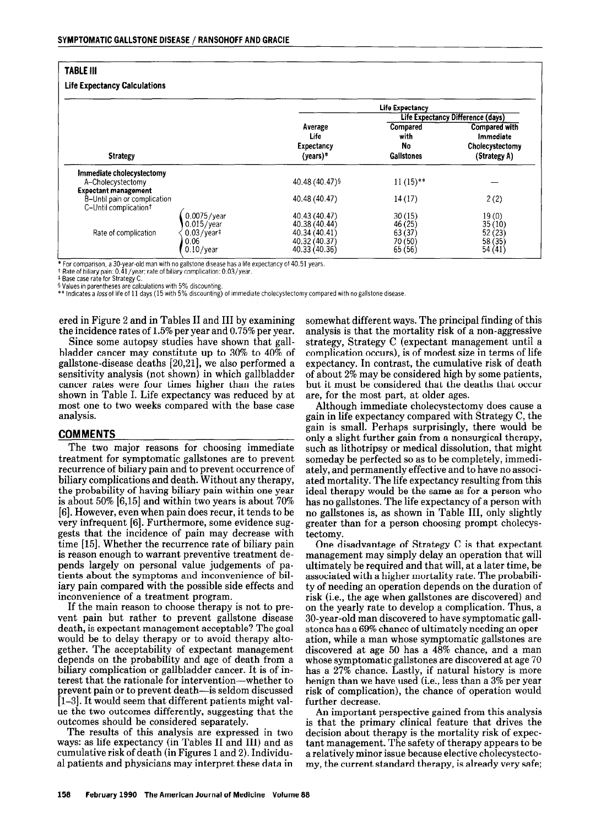|                                                                                                  |                                                 | Life Expectancy                             |                                                                                                                  |  |  |  |  |
|--------------------------------------------------------------------------------------------------|-------------------------------------------------|---------------------------------------------|------------------------------------------------------------------------------------------------------------------|--|--|--|--|
| <b>Strategy</b>                                                                                  | Average<br>Life<br>Expectancy<br>$(years)*$     | Compared<br>with<br>No<br><b>Gallstones</b> | Life Expectancy Difference (days)<br><b>Compared with</b><br><b>Immediate</b><br>Cholecystectomy<br>(Strategy A) |  |  |  |  |
| Immediate cholecystectomy<br>A-Cholecystectomy                                                   | 40.48 (40.47) \$                                | $11(15)$ **                                 |                                                                                                                  |  |  |  |  |
| <b>Expectant management</b><br>B-Until pain or complication<br>C-Until complication <sup>†</sup> | 40.48 (40.47)                                   | 14(17)                                      | 2(2)                                                                                                             |  |  |  |  |
| $0.0075$ /year<br>$0.015$ /year                                                                  | 40.43 (40.47)<br>40.38 (40.44)                  | 30(15)<br>46 (25)                           | 19(0)<br>35(10)                                                                                                  |  |  |  |  |
| $0.03$ /year <sup>‡</sup><br>Rate of complication<br>0.06<br>$0.10$ /year                        | 40.34 (40.41)<br>40.32 (40.37)<br>40.33 (40.36) | 63(37)<br>70 (50)<br>65 (56)                | 52(23)<br>58 (35)<br>54(41)                                                                                      |  |  |  |  |

\* For comparison, a 30-year-old man with no gallstone disease has a life expectancy of 40.51 years.<br>† Rate of billiary pain: 0.41 /year; rate of biliary complication: 0.03/year.<br>‡ Base case rate for Strategy C.

<sup>§</sup> Values in parentheses are calculations with 5% discounting.

\*\* Indicates a loss of life of 11 days (15 with 5% discounting) of immediate cholecystectomy compared with no gallstone disease.

ered in Figure 2 and in Tables II and III by examining the incidence rates of 1.5% per year and 0.75% per year.

Since some autopsy studies have shown that gallbladder cancer may constitute up to 30% to 40% of gallstone-disease deaths [20,21], we also performed a sensitivity analysis (not shown) in which gallbladder cancer rates were four times higher than the rates shown in Table I. Life expectancy was reduced by at most one to two weeks compared with the base case analysis.

### **COMMENTS**

The two major reasons for choosing immediate treatment for symptomatic gallstones are to prevent recurrence of biliary pain and to prevent occurrence of biliary complications and death. Without any therapy, the probability of having biliary pain within one year is about 50% [6,15] and within two years is about 70% [6]. However, even when pain does recur, it tends to be very infrequent [6]. Furthermore, some evidence suggests that the incidence of pain may decrease with time [15]. Whether the recurrence rate of biliary pain is reason enough to warrant preventive treatment depends largely on personal value judgements of patients about the symptoms and inconvenience of biliary pain compared with the possible side effects and inconvenience of a treatment program.

If the main reason to choose therapy is not to prevent pain but rather to prevent gallstone disease death, is expectant management acceptable? The goal would be to delay therapy or to avoid therapy altogether. The acceptability of expectant management depends on the probability and age of death from a biliary complication or gallbladder cancer. It is of interest that the rationale for intervention-whether to prevent pain or to prevent death-is seldom discussed [l-3]. It would seem that different patients might value the two outcomes differently, suggesting that the outcomes should be considered separately.

The results of this analysis are expressed in two ways: as life expectancy (in Tables II and III) and as cumulative risk of death (in Figures 1 and 2). Individual patients and physicians may interpret these data in

somewhat different ways. The principal finding of this analysis is that the mortality risk of a non-aggressive strategy, Strategy C (expectant management until a complication occurs), is of modest size in terms of life expectancy. In contrast, the cumulative risk of death of about 2% may be considered high by some patients, but it must be considered that the deaths that occur are, for the most part, at older ages.

Although immediate cholecystectomy does cause a gain in life expectancy compared with Strategy C, the gain is small. Perhaps surprisingly, there would be only a slight further gain from a nonsurgical therapy, such as lithotripsy or medical dissolution, that might someday be perfected so as to be completely, immediately, and permanently effective and to have no associated mortality. The life expectancy resulting from this ideal therapy would be the same as for a person who has no gallstones. The life expectancy of a person with no gallstones is, as shown in Table III, only slightly greater than for a person choosing prompt cholecystectomy.

One disadvantage of Strategy C is that expectant management may simply delay an operation that will ultimately be required and that will, at a later time, be associated with a higher mortality rate. The probability of needing an operation depends on the duration of risk (i.e., the age when gallstones are discovered) and on the yearly rate to develop a complication. Thus, a 30-year-old man discovered to have symptomatic gallstones has a 69% chance of ultimately needing an operation, while a man whose symptomatic gallstones are discovered at age 50 has a 48% chance, and a man whose symptomatic gallstones are discovered at age 70 has a 27% chance. Lastly, if natural history is more benign than we have used (i.e., less than a 3% per year risk of complication), the chance of operation would further decrease.

An important perspective gained from this analysis is that the primary clinical feature that drives the decision about therapy is the mortality risk of expectant management. The safety of therapy appears to be a relatively minor issue because elective cholecystectomy, the current standard therapy, is already very safe;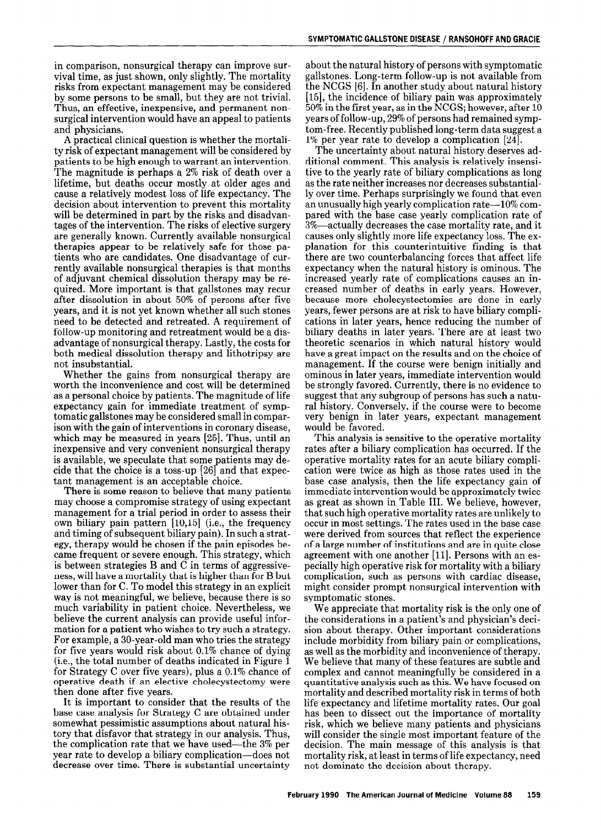in comparison, nonsurgical therapy can improve survival time, as just shown, only slightly. The mortality risks from expectant management may be considered by some persons to be small, but they are not trivial. Thus, an effective, inexpensive, and permanent nonsurgical intervention would have an appeal to patients and physicians.

A practical clinical question is whether the mortality risk of expectant management will be considered by patients to be high enough to warrant an intervention. The magnitude is perhaps a 2% risk of death over a lifetime, but deaths occur mostly at older ages and cause a relatively modest loss of life expectancy. The decision about intervention to prevent this mortality will be determined in part by the risks and disadvantages of the intervention. The risks of elective surgery are generally known. Currently available nonsurgical therapies appear to be relatively safe for those patients who are candidates. One disadvantage of currently available nonsurgical therapies is that months of adjuvant chemical dissolution therapy may be required. More important is that gallstones may recur after dissolution in about 50% of persons after five years, and it is not yet known whether all such stones need to be detected and retreated. A requirement of follow-up monitoring and retreatment would be a disadvantage of nonsurgical therapy. Lastly, the costs for both medical dissolution therapy and lithotripsy are not insubstantial.

Whether the gains from nonsurgical therapy are worth the inconvenience and cost will be determined as a personal choice by patients. The magnitude of life expectancy gain for immediate treatment of symptomatic gallstones may be considered small in comparison with the gain of interventions in coronary disease, which may be measured in years [25]. Thus, until an inexpensive and very convenient nonsurgical therapy is available, we speculate that some patients may decide that the choice is a toss-up [26] and that expectant management is an acceptable choice.

There is some reason to believe that many patients may choose a compromise strategy of using expectant management for a trial period in order to assess their own biliary pain pattern [10,15] (i.e., the frequency and timing of subsequent biliary pain). In such a strategy, therapy would be chosen if the pain episodes became frequent or severe enough. This strategy, which is between strategies B and C in terms of aggressiveness, will have a mortality that is higher than for B but lower than for C. To model this strategy in an explicit way is not meaningful, we believe, because there is so much variability in patient choice. Nevertheless, we believe the current analysis can provide useful information for a patient who wishes to try such a strategy. For example, a 30-year-old man who tries the strategy for five years would risk about 0.1% chance of dying (i.e., the total number of deaths indicated in Figure 1 for Strategy C over five years), plus a 0.1% chance of operative death if an elective cholecystectomy were then done after five years.

It is important to consider that the results of the base case analysis for Strategy C are obtained under somewhat pessimistic assumptions about natural history that disfavor that strategy in our analysis. Thus, the complication rate that we have used-the 3% per year rate to develop a biliary complication-does not decrease over time. There is substantial uncertainty about the natural history of persons with symptomatic gallstones. Long-term follow-up is not available from the NCGS [6]. In another study about natural history [15], the incidence of biliary pain was approximately 50% in the first year, as in the NCGS; however, after 10 years of follow-up, 29% of persons had remained symptom-free. Recently published long-term data suggest a 1% per year rate to develop a complication [24].

The uncertainty about natural history deserves additional comment. This analysis is relatively insensitive to the yearly rate of biliary complications as long as the rate neither increases nor decreases substantially over time. Perhaps surprisingly we found that even an unusually high yearly complication rate-10% compared with the base case yearly complication rate of 3%-actually decreases the case mortality rate, and it causes only slightly more life expectancy loss. The explanation for this counterintuitive finding is that there are two counterbalancing forces that affect life expectancy when the natural history is ominous. The increased yearly rate of complications causes an increased number of deaths in early years. However, because more cholecystectomies are done in early years, fewer persons are at risk to have biliary complications in later years, hence reducing the number of biliary deaths in later years. There are at least two theoretic scenarios in which natural history would have a great impact on the results and on the choice of management. If the course were benign initially and ominous in later years, immediate intervention would be strongly favored. Currently, there is no evidence to suggest that any subgroup of persons has such a natural history. Conversely, if the course were to become very benign in later years, expectant management would be favored.

This analysis is sensitive to the operative mortality rates after a biliary complication has occurred. If the operative mortality rates for an acute biliary complication were twice as high as those rates used in the base case analysis, then the life expectancy gain of immediate intervention would be approximately twice as great as shown in Table III. We believe, however, that such high operative mortality rates are unlikely to occur in most settings. The rates used in the base case were derived from sources that reflect the experience of a large number of institutions and are in quite close agreement with one another [ll]. Persons with an especially high operative risk for mortality with a biliary complication, such as persons with cardiac disease, might consider prompt nonsurgical intervention with symptomatic stones.

We appreciate that mortality risk is the only one of the considerations in a patient's and physician's decision about therapy. Other important considerations include morbidity from biliary pain or complications, as well as the morbidity and inconvenience of therapy. We believe that many of these features are subtle and complex and cannot meaningfully be considered in a quantitative analysis such as this. We have focused on mortality and described mortality risk in terms of both life expectancy and lifetime mortality rates. Our goal has been to dissect out the importance of mortality risk, which we believe many patients and physicians will consider the single most important feature of the decision. The main message of this analysis is that mortality risk, at least in terms of life expectancy, need not dominate the decision about therapy.